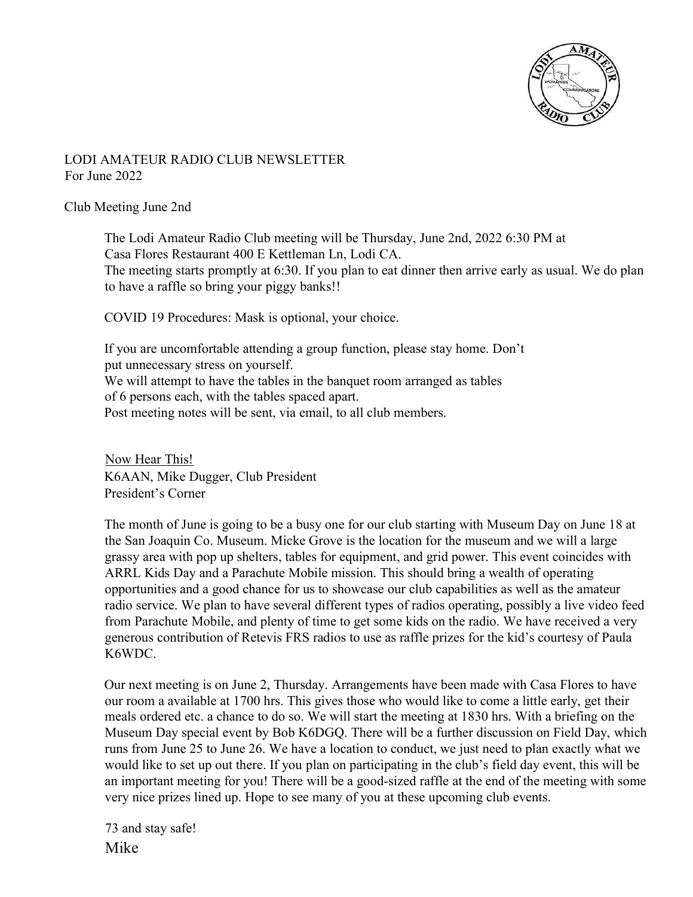

## LODI AMATEUR RADIO CLUB NEWSLETTER For June 2022

### Club Meeting June 2nd

The Lodi Amateur Radio Club meeting will be Thursday, June 2nd, 2022 6:30 PM at Casa Flores Restaurant 400 E Kettleman Ln, Lodi CA. The meeting starts promptly at 6:30. If you plan to eat dinner then arrive early as usual. We do plan to have a raffle so bring your piggy banks!!

COVID 19 Procedures: Mask is optional, your choice.

If you are uncomfortable attending a group function, please stay home. Don't put unnecessary stress on yourself. We will attempt to have the tables in the banquet room arranged as tables of 6 persons each, with the tables spaced apart. Post meeting notes will be sent, via email, to all club members.

Now Hear This! K6AAN, Mike Dugger, Club President President's Corner

The month of June is going to be a busy one for our club starting with Museum Day on June 18 at the San Joaquin Co. Museum. Micke Grove is the location for the museum and we will a large grassy area with pop up shelters, tables for equipment, and grid power. This event coincides with ARRL Kids Day and a Parachute Mobile mission. This should bring a wealth of operating opportunities and a good chance for us to showcase our club capabilities as well as the amateur radio service. We plan to have several different types of radios operating, possibly a live video feed from Parachute Mobile, and plenty of time to get some kids on the radio. We have received a very generous contribution of Retevis FRS radios to use as raffle prizes for the kid's courtesy of Paula K6WDC.

Our next meeting is on June 2, Thursday. Arrangements have been made with Casa Flores to have our room a available at 1700 hrs. This gives those who would like to come a little early, get their meals ordered etc. a chance to do so. We will start the meeting at 1830 hrs. With a briefing on the Museum Day special event by Bob K6DGQ. There will be a further discussion on Field Day, which runs from June 25 to June 26. We have a location to conduct, we just need to plan exactly what we would like to set up out there. If you plan on participating in the club's field day event, this will be an important meeting for you! There will be a good-sized raffle at the end of the meeting with some very nice prizes lined up. Hope to see many of you at these upcoming club events.

73 and stay safe! Mike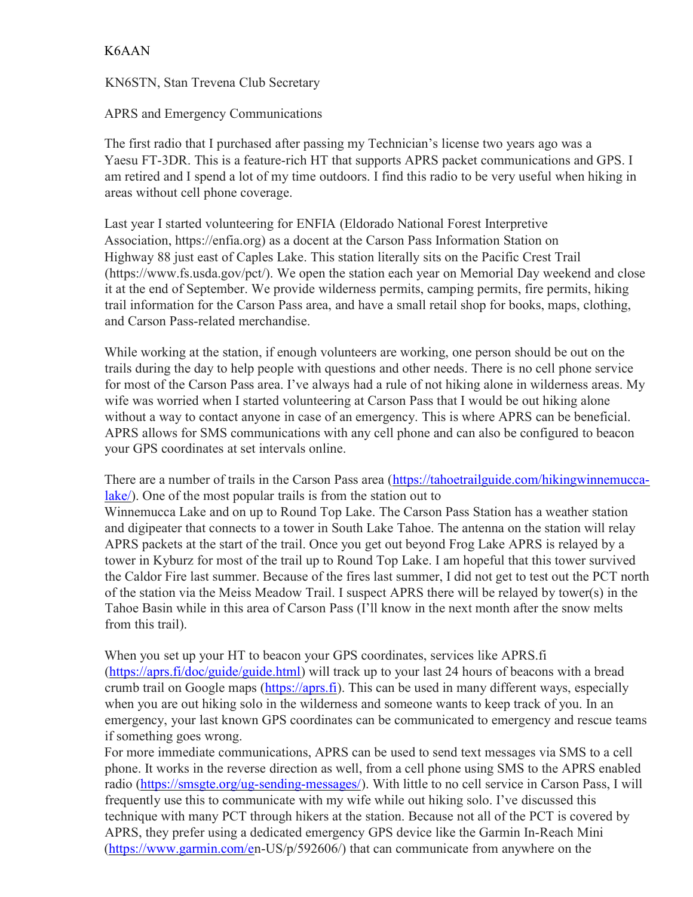## K6AAN

KN6STN, Stan Trevena Club Secretary

APRS and Emergency Communications

The first radio that I purchased after passing my Technician's license two years ago was a Yaesu FT-3DR. This is a feature-rich HT that supports APRS packet communications and GPS. I am retired and I spend a lot of my time outdoors. I find this radio to be very useful when hiking in areas without cell phone coverage.

Last year I started volunteering for ENFIA (Eldorado National Forest Interpretive Association, https://enfia.org) as a docent at the Carson Pass Information Station on Highway 88 just east of Caples Lake. This station literally sits on the Pacific Crest Trail (https://www.fs.usda.gov/pct/). We open the station each year on Memorial Day weekend and close it at the end of September. We provide wilderness permits, camping permits, fire permits, hiking trail information for the Carson Pass area, and have a small retail shop for books, maps, clothing, and Carson Pass-related merchandise.

While working at the station, if enough volunteers are working, one person should be out on the trails during the day to help people with questions and other needs. There is no cell phone service for most of the Carson Pass area. I've always had a rule of not hiking alone in wilderness areas. My wife was worried when I started volunteering at Carson Pass that I would be out hiking alone without a way to contact anyone in case of an emergency. This is where APRS can be beneficial. APRS allows for SMS communications with any cell phone and can also be configured to beacon your GPS coordinates at set intervals online.

There are a number of trails in the Carson Pass area (https://tahoetrailguide.com/hikingwinnemuccalake/). One of the most popular trails is from the station out to

Winnemucca Lake and on up to Round Top Lake. The Carson Pass Station has a weather station and digipeater that connects to a tower in South Lake Tahoe. The antenna on the station will relay APRS packets at the start of the trail. Once you get out beyond Frog Lake APRS is relayed by a tower in Kyburz for most of the trail up to Round Top Lake. I am hopeful that this tower survived the Caldor Fire last summer. Because of the fires last summer, I did not get to test out the PCT north of the station via the Meiss Meadow Trail. I suspect APRS there will be relayed by tower(s) in the Tahoe Basin while in this area of Carson Pass (I'll know in the next month after the snow melts from this trail).

When you set up your HT to beacon your GPS coordinates, services like APRS.fi (https://aprs.fi/doc/guide/guide.html) will track up to your last 24 hours of beacons with a bread crumb trail on Google maps (https://aprs.fi). This can be used in many different ways, especially when you are out hiking solo in the wilderness and someone wants to keep track of you. In an emergency, your last known GPS coordinates can be communicated to emergency and rescue teams if something goes wrong.

For more immediate communications, APRS can be used to send text messages via SMS to a cell phone. It works in the reverse direction as well, from a cell phone using SMS to the APRS enabled radio (https://smsgte.org/ug-sending-messages/). With little to no cell service in Carson Pass, I will frequently use this to communicate with my wife while out hiking solo. I've discussed this technique with many PCT through hikers at the station. Because not all of the PCT is covered by APRS, they prefer using a dedicated emergency GPS device like the Garmin In-Reach Mini (https://www.garmin.com/en-US/p/592606/) that can communicate from anywhere on the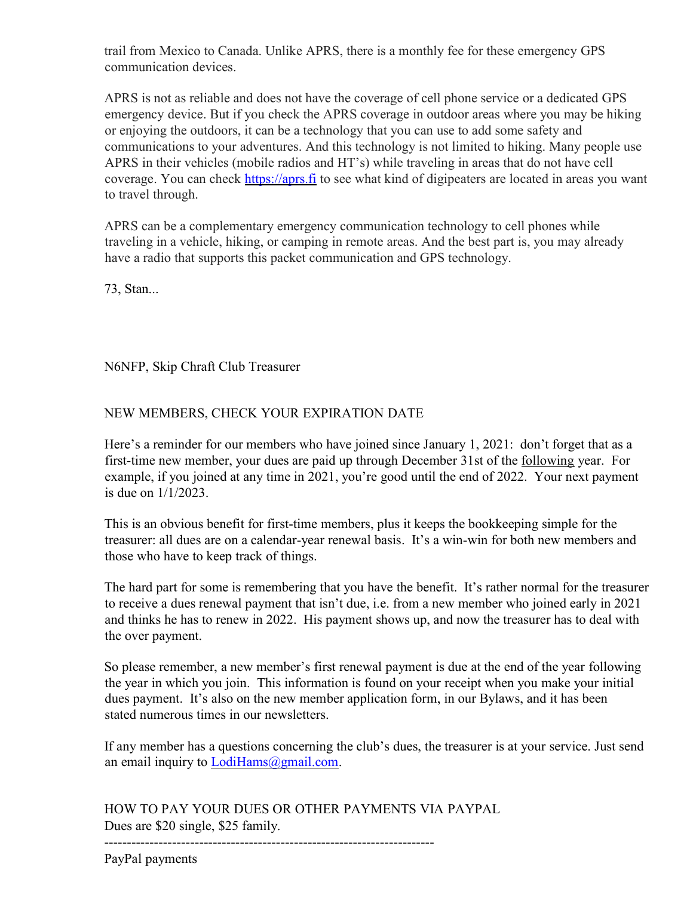trail from Mexico to Canada. Unlike APRS, there is a monthly fee for these emergency GPS communication devices.

APRS is not as reliable and does not have the coverage of cell phone service or a dedicated GPS emergency device. But if you check the APRS coverage in outdoor areas where you may be hiking or enjoying the outdoors, it can be a technology that you can use to add some safety and communications to your adventures. And this technology is not limited to hiking. Many people use APRS in their vehicles (mobile radios and HT's) while traveling in areas that do not have cell coverage. You can check https://aprs.fi to see what kind of digipeaters are located in areas you want to travel through.

APRS can be a complementary emergency communication technology to cell phones while traveling in a vehicle, hiking, or camping in remote areas. And the best part is, you may already have a radio that supports this packet communication and GPS technology.

73, Stan...

N6NFP, Skip Chraft Club Treasurer

## NEW MEMBERS, CHECK YOUR EXPIRATION DATE

Here's a reminder for our members who have joined since January 1, 2021: don't forget that as a first-time new member, your dues are paid up through December 31st of the following year. For example, if you joined at any time in 2021, you're good until the end of 2022. Your next payment is due on 1/1/2023.

This is an obvious benefit for first-time members, plus it keeps the bookkeeping simple for the treasurer: all dues are on a calendar-year renewal basis. It's a win-win for both new members and those who have to keep track of things.

The hard part for some is remembering that you have the benefit. It's rather normal for the treasurer to receive a dues renewal payment that isn't due, i.e. from a new member who joined early in 2021 and thinks he has to renew in 2022. His payment shows up, and now the treasurer has to deal with the over payment.

So please remember, a new member's first renewal payment is due at the end of the year following the year in which you join. This information is found on your receipt when you make your initial dues payment. It's also on the new member application form, in our Bylaws, and it has been stated numerous times in our newsletters.

If any member has a questions concerning the club's dues, the treasurer is at your service. Just send an email inquiry to **LodiHams**@gmail.com.

HOW TO PAY YOUR DUES OR OTHER PAYMENTS VIA PAYPAL Dues are \$20 single, \$25 family.

-------------------------------------------------------------------------

PayPal payments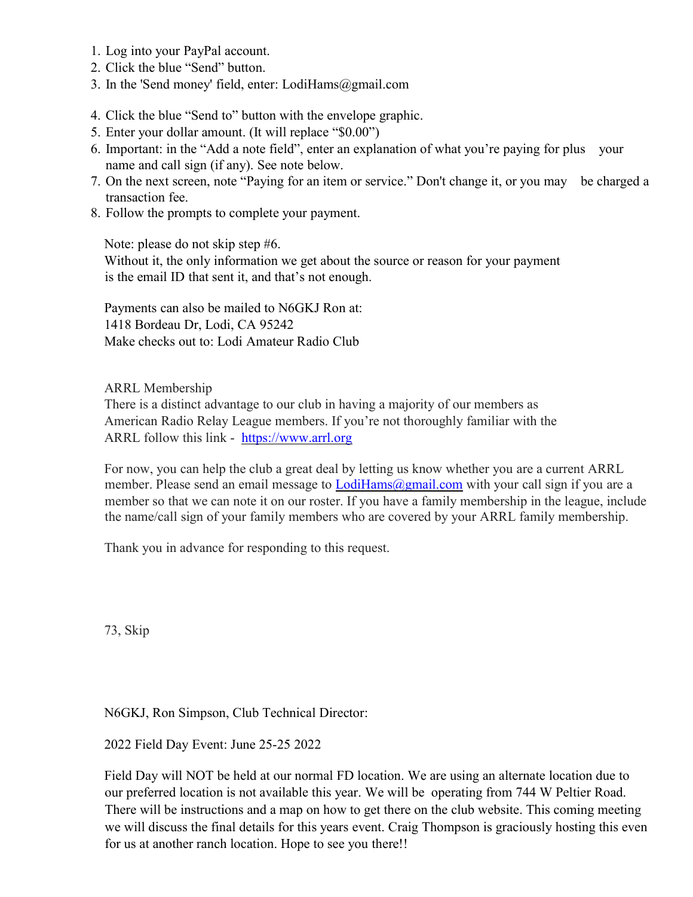- 1. Log into your PayPal account.
- 2. Click the blue "Send" button.
- 3. In the 'Send money' field, enter: LodiHams@gmail.com
- 4. Click the blue "Send to" button with the envelope graphic.
- 5. Enter your dollar amount. (It will replace "\$0.00")
- 6. Important: in the "Add a note field", enter an explanation of what you're paying for plus your name and call sign (if any). See note below.
- 7. On the next screen, note "Paying for an item or service." Don't change it, or you may be charged a transaction fee.
- 8. Follow the prompts to complete your payment.

Note: please do not skip step #6.

Without it, the only information we get about the source or reason for your payment is the email ID that sent it, and that's not enough.

Payments can also be mailed to N6GKJ Ron at: 1418 Bordeau Dr, Lodi, CA 95242 Make checks out to: Lodi Amateur Radio Club

ARRL Membership

There is a distinct advantage to our club in having a majority of our members as American Radio Relay League members. If you're not thoroughly familiar with the ARRL follow this link - https://www.arrl.org

For now, you can help the club a great deal by letting us know whether you are a current ARRL member. Please send an email message to **LodiHams**@gmail.com with your call sign if you are a member so that we can note it on our roster. If you have a family membership in the league, include the name/call sign of your family members who are covered by your ARRL family membership.

Thank you in advance for responding to this request.

73, Skip

N6GKJ, Ron Simpson, Club Technical Director:

2022 Field Day Event: June 25-25 2022

Field Day will NOT be held at our normal FD location. We are using an alternate location due to our preferred location is not available this year. We will be operating from 744 W Peltier Road. There will be instructions and a map on how to get there on the club website. This coming meeting we will discuss the final details for this years event. Craig Thompson is graciously hosting this even for us at another ranch location. Hope to see you there!!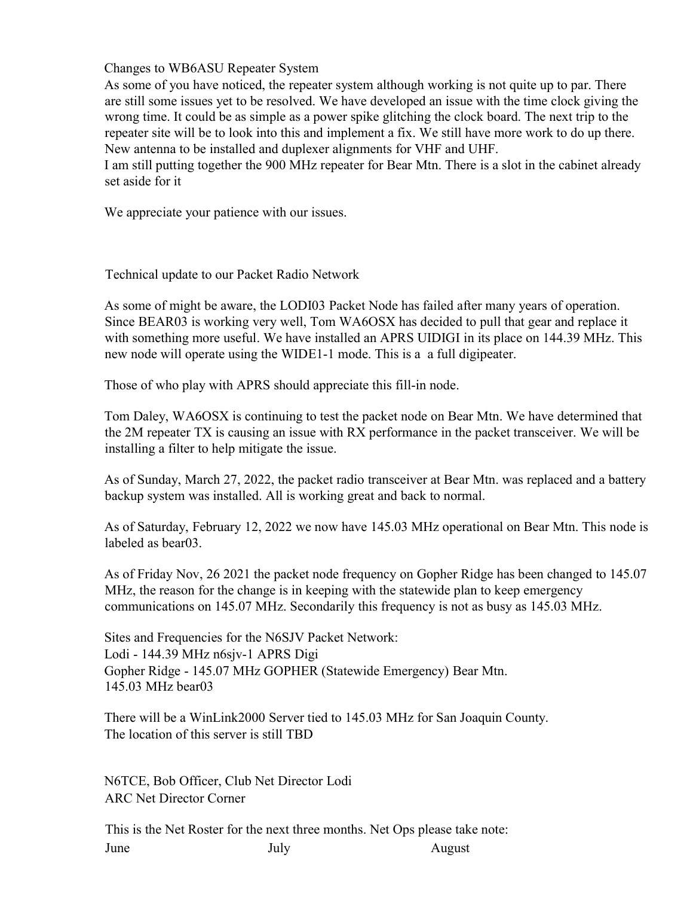Changes to WB6ASU Repeater System

As some of you have noticed, the repeater system although working is not quite up to par. There are still some issues yet to be resolved. We have developed an issue with the time clock giving the wrong time. It could be as simple as a power spike glitching the clock board. The next trip to the repeater site will be to look into this and implement a fix. We still have more work to do up there. New antenna to be installed and duplexer alignments for VHF and UHF.

I am still putting together the 900 MHz repeater for Bear Mtn. There is a slot in the cabinet already set aside for it

We appreciate your patience with our issues.

Technical update to our Packet Radio Network

As some of might be aware, the LODI03 Packet Node has failed after many years of operation. Since BEAR03 is working very well, Tom WA6OSX has decided to pull that gear and replace it with something more useful. We have installed an APRS UIDIGI in its place on 144.39 MHz. This new node will operate using the WIDE1-1 mode. This is a a full digipeater.

Those of who play with APRS should appreciate this fill-in node.

Tom Daley, WA6OSX is continuing to test the packet node on Bear Mtn. We have determined that the 2M repeater TX is causing an issue with RX performance in the packet transceiver. We will be installing a filter to help mitigate the issue.

As of Sunday, March 27, 2022, the packet radio transceiver at Bear Mtn. was replaced and a battery backup system was installed. All is working great and back to normal.

As of Saturday, February 12, 2022 we now have 145.03 MHz operational on Bear Mtn. This node is labeled as bear03.

As of Friday Nov, 26 2021 the packet node frequency on Gopher Ridge has been changed to 145.07 MHz, the reason for the change is in keeping with the statewide plan to keep emergency communications on 145.07 MHz. Secondarily this frequency is not as busy as 145.03 MHz.

Sites and Frequencies for the N6SJV Packet Network: Lodi - 144.39 MHz n6sjv-1 APRS Digi Gopher Ridge - 145.07 MHz GOPHER (Statewide Emergency) Bear Mtn. 145.03 MHz bear03

There will be a WinLink2000 Server tied to 145.03 MHz for San Joaquin County. The location of this server is still TBD

N6TCE, Bob Officer, Club Net Director Lodi ARC Net Director Corner

This is the Net Roster for the next three months. Net Ops please take note: June July July August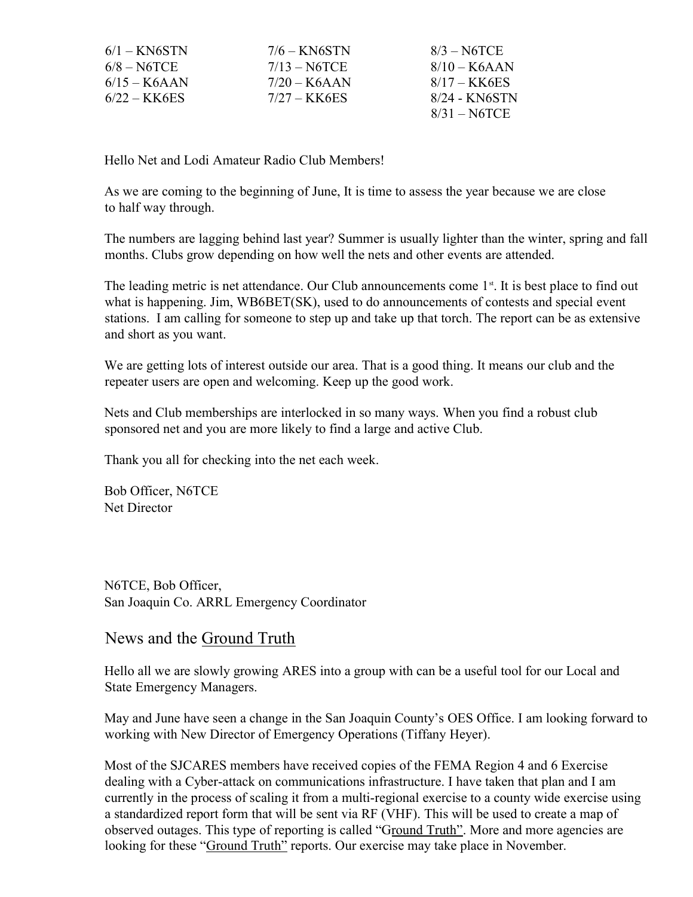| $6/1 -$ KN6STN | $7/6 - KN6STN$ | $8/3 - NGTCE$  |
|----------------|----------------|----------------|
| $6/8 - NGTCE$  | $7/13 - NGTCE$ | $8/10 - K6AAN$ |
| $6/15 - K6AAN$ | $7/20 - K6AAN$ | $8/17 - KK6ES$ |
| $6/22 - KK6ES$ | $7/27 - KK6ES$ | 8/24 - KN6STN  |
|                |                | $8/31 - NGTCE$ |

Hello Net and Lodi Amateur Radio Club Members!

As we are coming to the beginning of June, It is time to assess the year because we are close to half way through.

The numbers are lagging behind last year? Summer is usually lighter than the winter, spring and fall months. Clubs grow depending on how well the nets and other events are attended.

The leading metric is net attendance. Our Club announcements come  $1<sup>st</sup>$ . It is best place to find out what is happening. Jim, WB6BET(SK), used to do announcements of contests and special event stations. I am calling for someone to step up and take up that torch. The report can be as extensive and short as you want.

We are getting lots of interest outside our area. That is a good thing. It means our club and the repeater users are open and welcoming. Keep up the good work.

Nets and Club memberships are interlocked in so many ways. When you find a robust club sponsored net and you are more likely to find a large and active Club.

Thank you all for checking into the net each week.

Bob Officer, N6TCE Net Director

N6TCE, Bob Officer, San Joaquin Co. ARRL Emergency Coordinator

# News and the Ground Truth

Hello all we are slowly growing ARES into a group with can be a useful tool for our Local and State Emergency Managers.

May and June have seen a change in the San Joaquin County's OES Office. I am looking forward to working with New Director of Emergency Operations (Tiffany Heyer).

Most of the SJCARES members have received copies of the FEMA Region 4 and 6 Exercise dealing with a Cyber-attack on communications infrastructure. I have taken that plan and I am currently in the process of scaling it from a multi-regional exercise to a county wide exercise using a standardized report form that will be sent via RF (VHF). This will be used to create a map of observed outages. This type of reporting is called "Ground Truth". More and more agencies are looking for these "Ground Truth" reports. Our exercise may take place in November.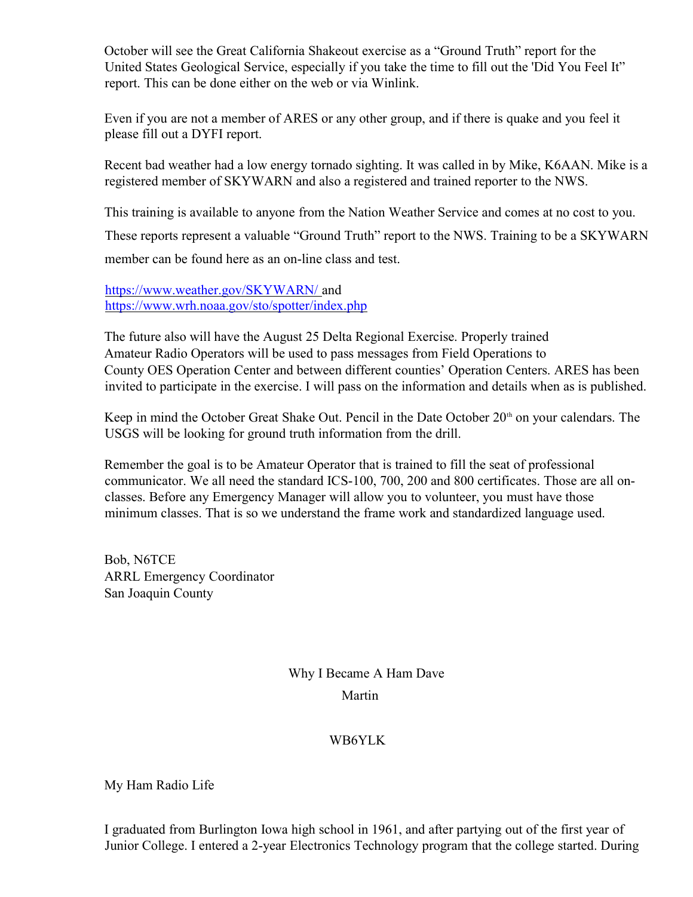October will see the Great California Shakeout exercise as a "Ground Truth" report for the United States Geological Service, especially if you take the time to fill out the 'Did You Feel It" report. This can be done either on the web or via Winlink.

Even if you are not a member of ARES or any other group, and if there is quake and you feel it please fill out a DYFI report.

Recent bad weather had a low energy tornado sighting. It was called in by Mike, K6AAN. Mike is a registered member of SKYWARN and also a registered and trained reporter to the NWS.

This training is available to anyone from the Nation Weather Service and comes at no cost to you.

These reports represent a valuable "Ground Truth" report to the NWS. Training to be a SKYWARN member can be found here as an on-line class and test.

https://www.weather.gov/SKYWARN/ and https://www.wrh.noaa.gov/sto/spotter/index.php

The future also will have the August 25 Delta Regional Exercise. Properly trained Amateur Radio Operators will be used to pass messages from Field Operations to County OES Operation Center and between different counties' Operation Centers. ARES has been invited to participate in the exercise. I will pass on the information and details when as is published.

Keep in mind the October Great Shake Out. Pencil in the Date October 20<sup>th</sup> on your calendars. The USGS will be looking for ground truth information from the drill.

Remember the goal is to be Amateur Operator that is trained to fill the seat of professional communicator. We all need the standard ICS-100, 700, 200 and 800 certificates. Those are all onclasses. Before any Emergency Manager will allow you to volunteer, you must have those minimum classes. That is so we understand the frame work and standardized language used.

Bob, N6TCE ARRL Emergency Coordinator San Joaquin County

> Why I Became A Ham Dave Martin

#### WB6YLK

My Ham Radio Life

I graduated from Burlington Iowa high school in 1961, and after partying out of the first year of Junior College. I entered a 2-year Electronics Technology program that the college started. During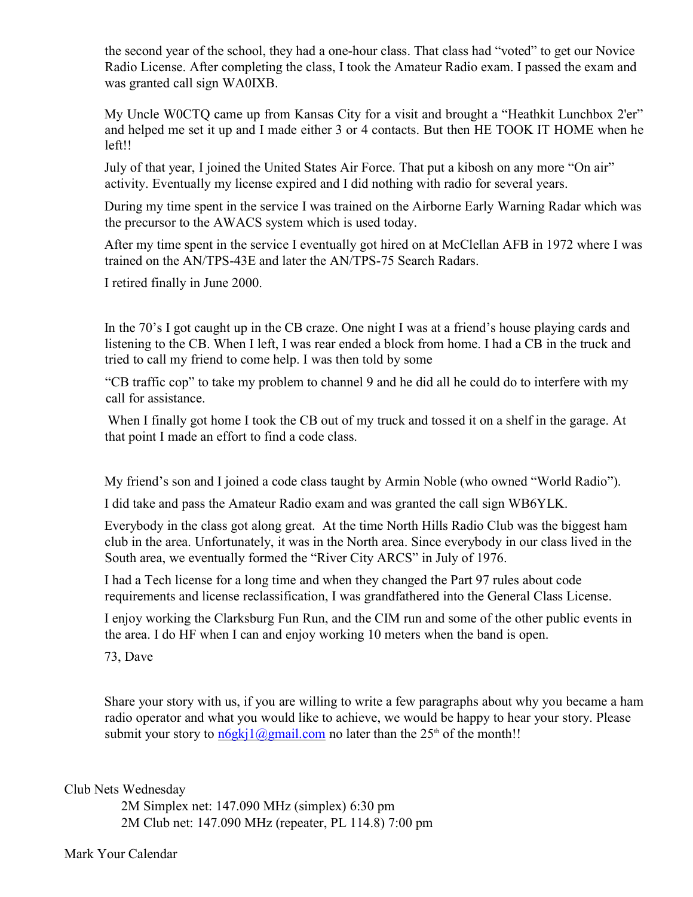the second year of the school, they had a one-hour class. That class had "voted" to get our Novice Radio License. After completing the class, I took the Amateur Radio exam. I passed the exam and was granted call sign WA0IXB.

My Uncle W0CTQ came up from Kansas City for a visit and brought a "Heathkit Lunchbox 2'er" and helped me set it up and I made either 3 or 4 contacts. But then HE TOOK IT HOME when he left!!

July of that year, I joined the United States Air Force. That put a kibosh on any more "On air" activity. Eventually my license expired and I did nothing with radio for several years.

During my time spent in the service I was trained on the Airborne Early Warning Radar which was the precursor to the AWACS system which is used today.

After my time spent in the service I eventually got hired on at McClellan AFB in 1972 where I was trained on the AN/TPS-43E and later the AN/TPS-75 Search Radars.

I retired finally in June 2000.

In the 70's I got caught up in the CB craze. One night I was at a friend's house playing cards and listening to the CB. When I left, I was rear ended a block from home. I had a CB in the truck and tried to call my friend to come help. I was then told by some

"CB traffic cop" to take my problem to channel 9 and he did all he could do to interfere with my call for assistance.

When I finally got home I took the CB out of my truck and tossed it on a shelf in the garage. At that point I made an effort to find a code class.

My friend's son and I joined a code class taught by Armin Noble (who owned "World Radio").

I did take and pass the Amateur Radio exam and was granted the call sign WB6YLK.

Everybody in the class got along great. At the time North Hills Radio Club was the biggest ham club in the area. Unfortunately, it was in the North area. Since everybody in our class lived in the South area, we eventually formed the "River City ARCS" in July of 1976.

I had a Tech license for a long time and when they changed the Part 97 rules about code requirements and license reclassification, I was grandfathered into the General Class License.

I enjoy working the Clarksburg Fun Run, and the CIM run and some of the other public events in the area. I do HF when I can and enjoy working 10 meters when the band is open.

73, Dave

Share your story with us, if you are willing to write a few paragraphs about why you became a ham radio operator and what you would like to achieve, we would be happy to hear your story. Please submit your story to  $\frac{n6g}{k}$ [ $\frac{2gm}{a}$ ].com no later than the  $25<sup>th</sup>$  of the month!!

Club Nets Wednesday

 2M Simplex net: 147.090 MHz (simplex) 6:30 pm 2M Club net: 147.090 MHz (repeater, PL 114.8) 7:00 pm

Mark Your Calendar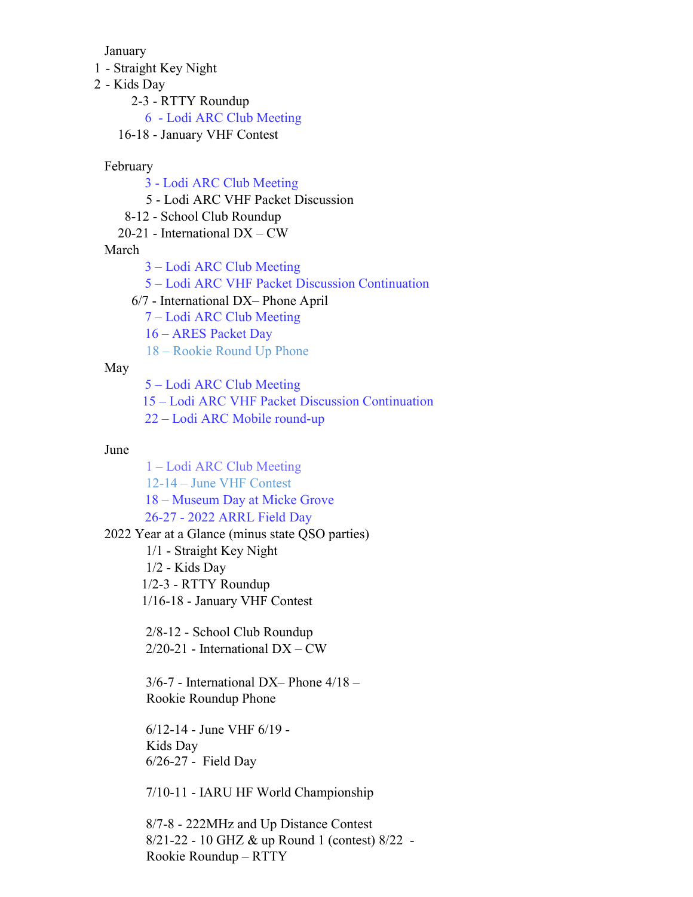January

- 1 Straight Key Night
- 2 Kids Day

2-3 - RTTY Roundup

6 - Lodi ARC Club Meeting

16-18 - January VHF Contest

#### February

- 3 Lodi ARC Club Meeting
- 5 Lodi ARC VHF Packet Discussion
- 8-12 School Club Roundup
- 20-21 International DX CW

March

- 3 Lodi ARC Club Meeting
- 5 Lodi ARC VHF Packet Discussion Continuation
- 6/7 International DX– Phone April
	- 7 Lodi ARC Club Meeting
	- 16 ARES Packet Day
	- 18 Rookie Round Up Phone

#### May

5 – Lodi ARC Club Meeting

- 15 Lodi ARC VHF Packet Discussion Continuation
- 22 Lodi ARC Mobile round-up

#### June

1 – Lodi ARC Club Meeting 12-14 – June VHF Contest 18 – Museum Day at Micke Grove 26-27 - 2022 ARRL Field Day 2022 Year at a Glance (minus state QSO parties)

- 1/1 Straight Key Night
- 1/2 Kids Day

1/2-3 - RTTY Roundup

1/16-18 - January VHF Contest

2/8-12 - School Club Roundup  $2/20-21$  - International  $DX-CW$ 

3/6-7 - International DX– Phone 4/18 – Rookie Roundup Phone

6/12-14 - June VHF 6/19 - Kids Day 6/26-27 - Field Day

7/10-11 - IARU HF World Championship

8/7-8 - 222MHz and Up Distance Contest 8/21-22 - 10 GHZ & up Round 1 (contest) 8/22 - Rookie Roundup – RTTY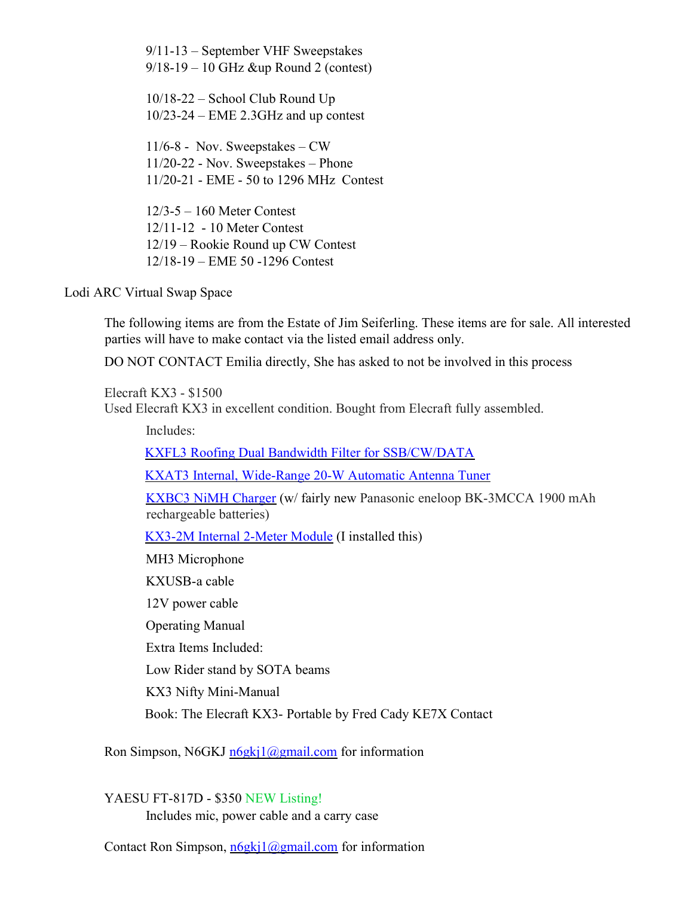9/11-13 – September VHF Sweepstakes 9/18-19 – 10 GHz &up Round 2 (contest)

10/18-22 – School Club Round Up 10/23-24 – EME 2.3GHz and up contest

11/6-8 - Nov. Sweepstakes – CW 11/20-22 - Nov. Sweepstakes – Phone 11/20-21 - EME - 50 to 1296 MHz Contest

12/3-5 – 160 Meter Contest 12/11-12 - 10 Meter Contest 12/19 – Rookie Round up CW Contest 12/18-19 – EME 50 -1296 Contest

Lodi ARC Virtual Swap Space

The following items are from the Estate of Jim Seiferling. These items are for sale. All interested parties will have to make contact via the listed email address only.

DO NOT CONTACT Emilia directly, She has asked to not be involved in this process

Elecraft KX3 - \$1500 Used Elecraft KX3 in excellent condition. Bought from Elecraft fully assembled.

Includes: KXFL3 Roofing Dual Bandwidth Filter for SSB/CW/DATA KXAT3 Internal, Wide-Range 20-W Automatic Antenna Tuner KXBC3 NiMH Charger (w/ fairly new Panasonic eneloop BK-3MCCA 1900 mAh rechargeable batteries) KX3-2M Internal 2-Meter Module (I installed this) MH3 Microphone KXUSB-a cable 12V power cable Operating Manual Extra Items Included: Low Rider stand by SOTA beams KX3 Nifty Mini-Manual Book: The Elecraft KX3- Portable by Fred Cady KE7X Contact

Ron Simpson, N6GKJ  $n6gki1@gmail.com$  for information

YAESU FT-817D - \$350 NEW Listing!

Includes mic, power cable and a carry case

Contact Ron Simpson,  $n6gki1@gmail.com$  for information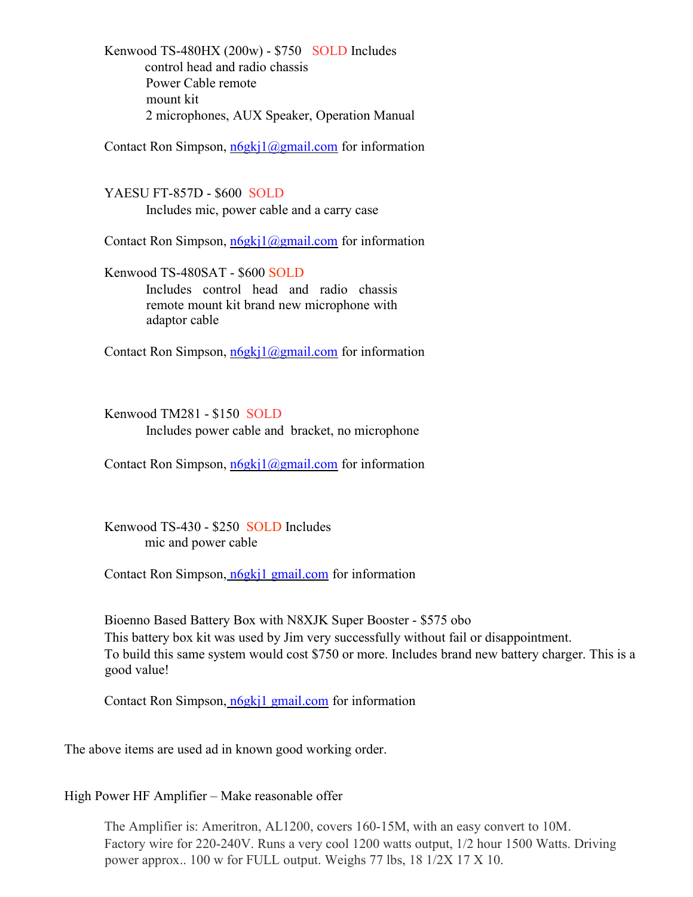Kenwood TS-480HX (200w) - \$750 SOLD Includes control head and radio chassis Power Cable remote mount kit 2 microphones, AUX Speaker, Operation Manual

Contact Ron Simpson,  $n6gki1@gmail.com$  for information

YAESU FT-857D - \$600 SOLD Includes mic, power cable and a carry case

Contact Ron Simpson,  $n6gki1@gmail.com$  for information

Kenwood TS-480SAT - \$600 SOLD Includes control head and radio chassis remote mount kit brand new microphone with adaptor cable

Contact Ron Simpson, n6gkj1@gmail.com for information

Kenwood TM281 - \$150 SOLD Includes power cable and bracket, no microphone

Contact Ron Simpson,  $n6gki1@gmail.com$  for information

Kenwood TS-430 - \$250 SOLD Includes mic and power cable

Contact Ron Simpson, n6gkj1 gmail.com for information

Bioenno Based Battery Box with N8XJK Super Booster - \$575 obo This battery box kit was used by Jim very successfully without fail or disappointment. To build this same system would cost \$750 or more. Includes brand new battery charger. This is a good value!

Contact Ron Simpson, n6gkj1 gmail.com for information

The above items are used ad in known good working order.

High Power HF Amplifier – Make reasonable offer

The Amplifier is: Ameritron, AL1200, covers 160-15M, with an easy convert to 10M. Factory wire for 220-240V. Runs a very cool 1200 watts output, 1/2 hour 1500 Watts. Driving power approx.. 100 w for FULL output. Weighs 77 lbs, 18 1/2X 17 X 10.